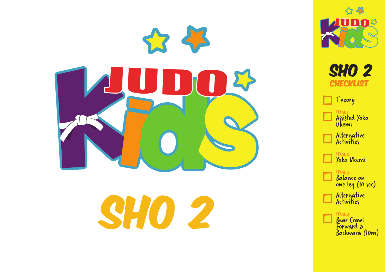

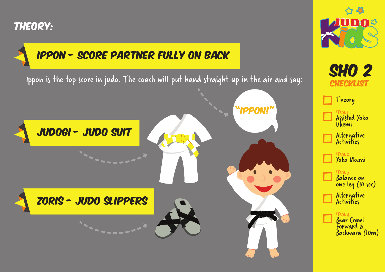## Theory:

## ippon - Score partner fully on back

Ippon is the top score in judo. The coach will put hand straight up in the air and say:





**SHO 2** 

**CHECKLIST** 

Assisted Yoko

Alternative Activities

Yoko Ukemi

Balance on one leg (10 sec)

Alternative **Activities** 

Ukemi

Theory

STAGE 2:

STAGE 3:

STAGE 4: Bear Crawl Forward & Backward (10m)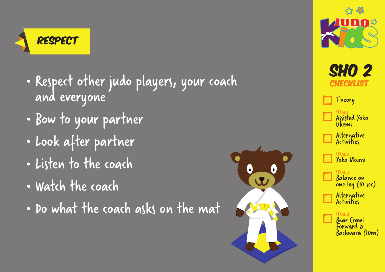

- Respect other judo players, your coach and everyone
- Bow to your partner
- Look after partner
- Listen to the coach
- Watch the coach
- Do what the coach asks on the mat



 $\overline{\mathbf{v}}$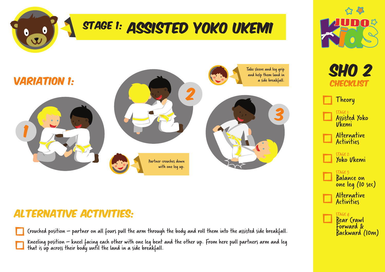



## Alternative Activities:

Crouched position – partner on all fours pull the arm through the body and roll them into the assisted side breakfall.

Kneeling position – kneel facing each other with one leg bent and the other up. From here pull partners arm and leg that is úp across their body until the land in a side breákfall.



**SHO 2 CHECKLIST** 

Theory

STAGE 1: Assisted Yoko Ukemi

Alternative **Activities** 

STAGE 2: Yoko Ukemi

STAGE 3: Balance on one leg (10 sec) Alternative **Activities** 

> STAGE 4: Bear Crawl Forward & Backward (10m)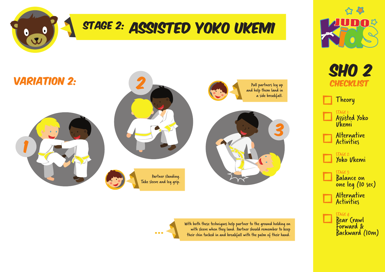





**SHO 2 CHECKLIST** 

Theory

STAGE 1: Assisted Yoko Ukemi

Alternative Activities

> STAGE 2: Yoko Ukemi

STAGE 3: Balance on one leg (10 sec) Alternative **Activities** 

> $TAGF 4:$ Bear Crawl Forward & Backward (10m)

with sleeve when they land. Partner should remember to keep<br>their chin tucked in and breakfall with the palm of their hand.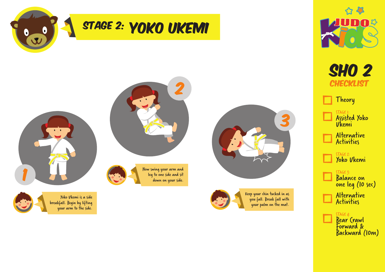





Keep your chin tucked in as you fall. Break fall with your palm on the mat.





Theory

STAGE 1: Assisted Yoko Ukemi

Alternative Activities

> STAGE 2: Yoko Ukemi

STAGE 3: Balance on one leg (10 sec) Alternative **Activities** 

> $TAGE 4:$ Bear Crawl Forward & Backward (10m)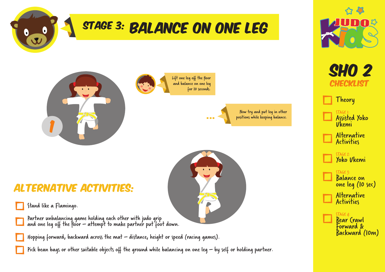

Pick bean bags or other suitable objects off the ground while balancing on one leg – by self or holding partner.